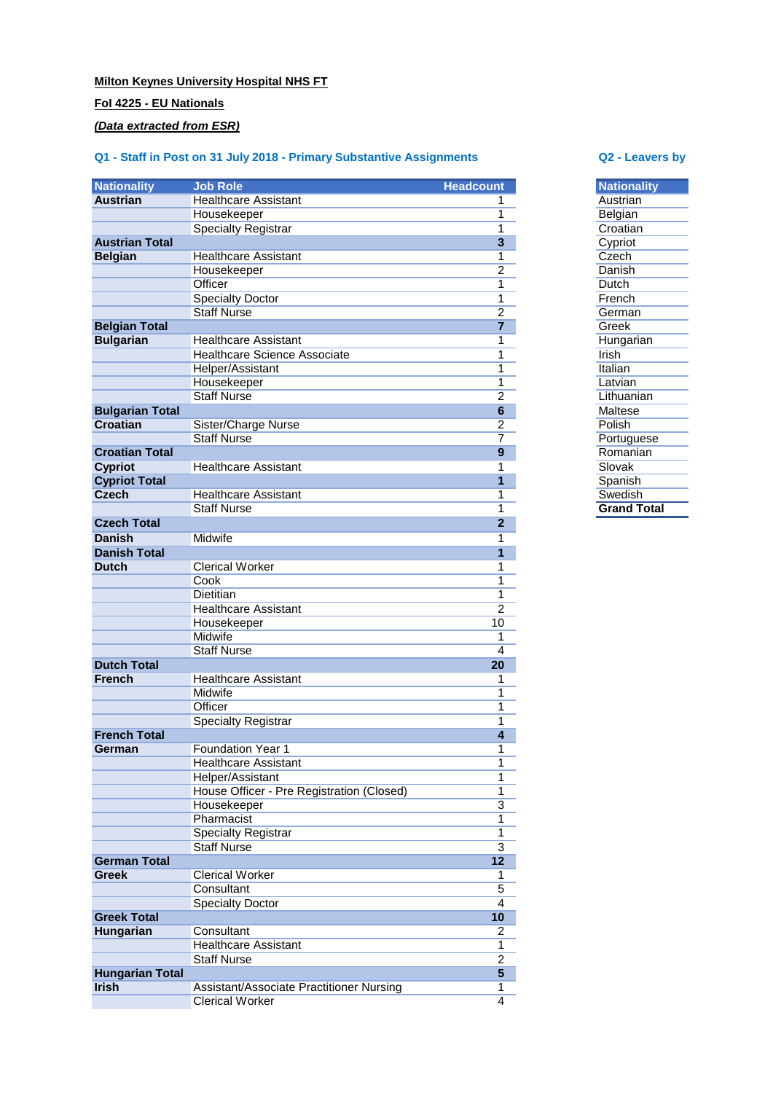## **Milton Keynes University Hospital NHS FT**

## **FoI 4225 - EU Nationals**

## *(Data extracted from ESR)*

# **Q1 - Staff in Post on 31 July 2018 - Primary Substantive Assignments Q2 - Leavers by**

| <b>Nationality</b>                     | <b>Job Role</b>                           | <b>Headcount</b>        | <b>Nationality</b> |
|----------------------------------------|-------------------------------------------|-------------------------|--------------------|
| <b>Austrian</b>                        | <b>Healthcare Assistant</b>               | 1                       | Austrian           |
|                                        | Housekeeper                               | 1                       | Belgian            |
|                                        | <b>Specialty Registrar</b>                | 1                       | Croatian           |
| <b>Austrian Total</b>                  |                                           | $\mathbf{3}$            | Cypriot            |
| <b>Belgian</b>                         | <b>Healthcare Assistant</b>               | 1                       | Czech              |
|                                        | Housekeeper                               | $\overline{2}$          | Danish             |
|                                        | Officer                                   | 1                       | Dutch              |
|                                        | <b>Specialty Doctor</b>                   | 1                       | French             |
|                                        | <b>Staff Nurse</b>                        | $\overline{c}$          | German             |
| <b>Belgian Total</b>                   |                                           | $\overline{7}$          | Greek              |
| <b>Bulgarian</b>                       | <b>Healthcare Assistant</b>               | 1                       | Hungarian          |
|                                        | <b>Healthcare Science Associate</b>       | 1                       | Irish              |
|                                        | Helper/Assistant                          | 1                       | Italian            |
|                                        | Housekeeper                               | 1                       | Latvian            |
|                                        | <b>Staff Nurse</b>                        | $\overline{2}$          | Lithuanian         |
| <b>Bulgarian Total</b>                 |                                           | $6\phantom{1}$          | <b>Maltese</b>     |
| <b>Croatian</b>                        | Sister/Charge Nurse                       | 2                       | Polish             |
|                                        | <b>Staff Nurse</b>                        | 7                       | Portuguese         |
| <b>Croatian Total</b>                  |                                           | $\boldsymbol{9}$        | Romanian           |
| <b>Cypriot</b>                         | <b>Healthcare Assistant</b>               | 1                       | Slovak             |
| <b>Cypriot Total</b>                   |                                           | 1                       | Spanish            |
| <b>Czech</b>                           | <b>Healthcare Assistant</b>               | 1                       | Swedish            |
|                                        | <b>Staff Nurse</b>                        | 1                       | <b>Grand Total</b> |
| <b>Czech Total</b>                     |                                           | $\overline{2}$          |                    |
| <b>Danish</b>                          | Midwife                                   | 1                       |                    |
| <b>Danish Total</b>                    |                                           | 1                       |                    |
| <b>Dutch</b>                           | <b>Clerical Worker</b>                    | 1                       |                    |
|                                        | Cook                                      | 1                       |                    |
|                                        | <b>Dietitian</b>                          | 1                       |                    |
|                                        | <b>Healthcare Assistant</b>               | $\overline{c}$          |                    |
|                                        | Housekeeper                               | 10                      |                    |
|                                        | Midwife                                   | 1                       |                    |
|                                        | <b>Staff Nurse</b>                        | 4                       |                    |
| <b>Dutch Total</b>                     |                                           | 20                      |                    |
| <b>French</b>                          | <b>Healthcare Assistant</b>               | 1                       |                    |
|                                        | <b>Midwife</b>                            | 1                       |                    |
|                                        | Officer                                   | 1                       |                    |
|                                        | <b>Specialty Registrar</b>                | 1                       |                    |
| <b>French Total</b>                    |                                           | $\overline{\mathbf{4}}$ |                    |
| German                                 | <b>Foundation Year 1</b>                  | 1                       |                    |
|                                        | <b>Healthcare Assistant</b>               | 1                       |                    |
|                                        | Helper/Assistant                          | 1                       |                    |
|                                        | House Officer - Pre Registration (Closed) | 1                       |                    |
|                                        | Housekeeper                               | $\overline{3}$          |                    |
|                                        | Pharmacist                                | 1                       |                    |
|                                        | <b>Specialty Registrar</b>                | 1                       |                    |
|                                        | <b>Staff Nurse</b>                        | $\overline{3}$          |                    |
| <b>German Total</b>                    |                                           | 12                      |                    |
| <b>Greek</b>                           | <b>Clerical Worker</b>                    | 1                       |                    |
|                                        | Consultant                                | 5                       |                    |
|                                        | <b>Specialty Doctor</b>                   | 4                       |                    |
| <b>Greek Total</b>                     |                                           | 10                      |                    |
| Hungarian                              | Consultant                                | 2                       |                    |
|                                        | <b>Healthcare Assistant</b>               | 1                       |                    |
|                                        | <b>Staff Nurse</b>                        | $\overline{c}$          |                    |
|                                        |                                           |                         |                    |
|                                        |                                           |                         |                    |
| <b>Hungarian Total</b><br><b>Irish</b> | Assistant/Associate Practitioner Nursing  | $5\phantom{.}$<br>1     |                    |

| <b>Nationality</b> |
|--------------------|
| Austrian           |
| Belgian            |
| Croatian           |
| Cypriot            |
| Czech              |
| Danish             |
| Dutch              |
| French             |
| German             |
| Greek              |
| Hungarian          |
| Irish              |
| Italian            |
| Latvian            |
| Lithuanian         |
| Maltese            |
| Polish             |
| Portuguese         |
| Romanian           |
| Slovak             |
| Spanish            |
| Swedish            |
| <b>Grand Total</b> |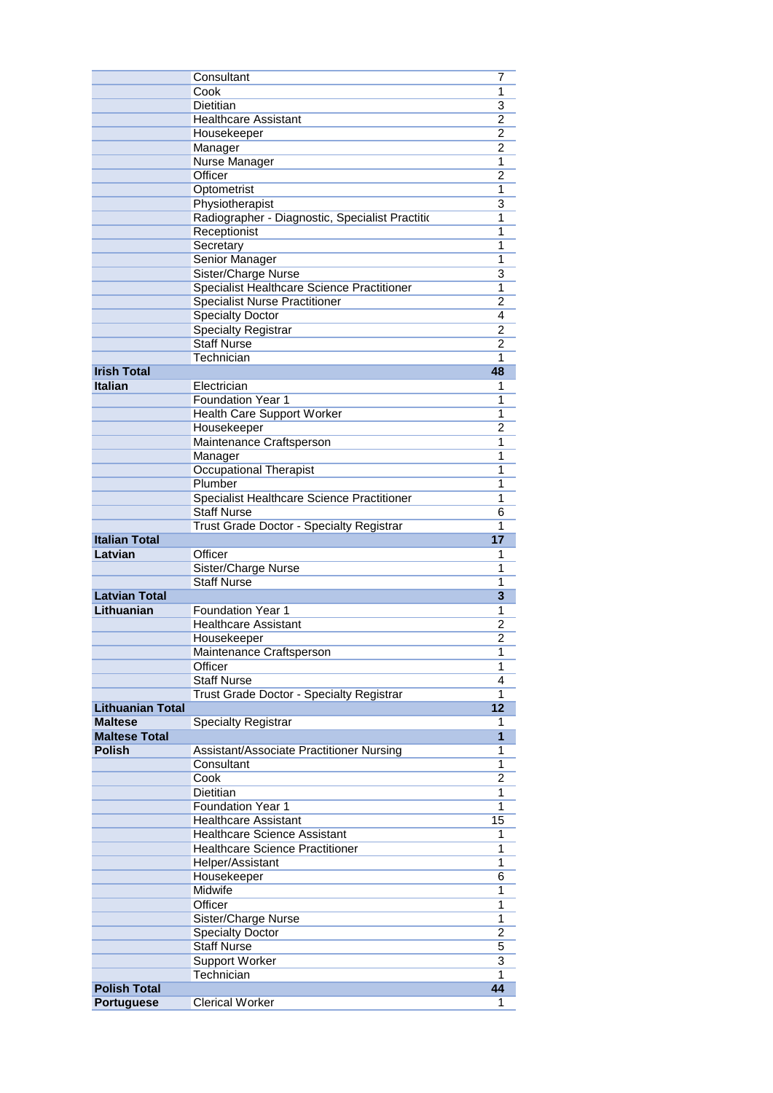|                         | Consultant                                      | 7              |
|-------------------------|-------------------------------------------------|----------------|
|                         | Cook                                            | 1              |
|                         | <b>Dietitian</b>                                | $\overline{3}$ |
|                         | <b>Healthcare Assistant</b>                     | 2              |
|                         | Housekeeper                                     | $\overline{2}$ |
|                         | Manager                                         | $\overline{2}$ |
|                         | <b>Nurse Manager</b>                            | 1              |
|                         | Officer                                         | $\overline{2}$ |
|                         | Optometrist                                     | 1              |
|                         | Physiotherapist                                 | 3              |
|                         | Radiographer - Diagnostic, Specialist Practitio | 1              |
|                         | Receptionist                                    | 1              |
|                         | Secretary<br>Senior Manager                     | 1<br>1         |
|                         | Sister/Charge Nurse                             | 3              |
|                         | Specialist Healthcare Science Practitioner      | 1              |
|                         | <b>Specialist Nurse Practitioner</b>            | 2              |
|                         | <b>Specialty Doctor</b>                         | 4              |
|                         | <b>Specialty Registrar</b>                      | 2              |
|                         | <b>Staff Nurse</b>                              | $\overline{2}$ |
|                         | Technician                                      | 1              |
| <b>Irish Total</b>      |                                                 | 48             |
| <b>Italian</b>          | Electrician                                     | 1              |
|                         | <b>Foundation Year 1</b>                        | 1              |
|                         | Health Care Support Worker                      | 1              |
|                         | Housekeeper                                     | 2              |
|                         | Maintenance Craftsperson                        | 1              |
|                         | Manager                                         | 1              |
|                         | <b>Occupational Therapist</b>                   | 1              |
|                         | Plumber                                         | 1              |
|                         | Specialist Healthcare Science Practitioner      | 1              |
|                         | <b>Staff Nurse</b>                              | 6<br>1         |
| <b>Italian Total</b>    | Trust Grade Doctor - Specialty Registrar        | 17             |
| Latvian                 | Officer                                         | 1              |
|                         | Sister/Charge Nurse                             | 1              |
|                         | <b>Staff Nurse</b>                              | 1              |
| <b>Latvian Total</b>    |                                                 | 3              |
| Lithuanian              | <b>Foundation Year 1</b>                        | 1              |
|                         | <b>Healthcare Assistant</b>                     | 2              |
|                         | Housekeeper                                     | 2              |
|                         | Maintenance Craftsperson                        | 1              |
|                         | Officer                                         | 1              |
|                         | <b>Staff Nurse</b>                              | 4              |
|                         | Trust Grade Doctor - Specialty Registrar        | 1              |
| <b>Lithuanian Total</b> |                                                 | 12             |
| Maltese                 | <b>Specialty Registrar</b>                      | 1              |
| <b>Maltese Total</b>    |                                                 | 1              |
| Polish                  | Assistant/Associate Practitioner Nursing        | 1<br>1         |
|                         | Consultant<br>Cook                              | 2              |
|                         | Dietitian                                       | 1              |
|                         | <b>Foundation Year 1</b>                        | 1              |
|                         | <b>Healthcare Assistant</b>                     | 15             |
|                         | <b>Healthcare Science Assistant</b>             | 1              |
|                         | <b>Healthcare Science Practitioner</b>          | 1              |
|                         | Helper/Assistant                                | 1              |
|                         | Housekeeper                                     | 6              |
|                         | Midwife                                         | 1              |
|                         | Officer                                         | 1              |
|                         | Sister/Charge Nurse                             | 1              |
|                         | Specialty Doctor                                | 2              |
|                         | <b>Staff Nurse</b>                              | 5              |
|                         | Support Worker                                  | $\overline{3}$ |
|                         | Technician                                      | 1              |
| <b>Polish Total</b>     |                                                 | 44             |
| <b>Portuguese</b>       | <b>Clerical Worker</b>                          | 1              |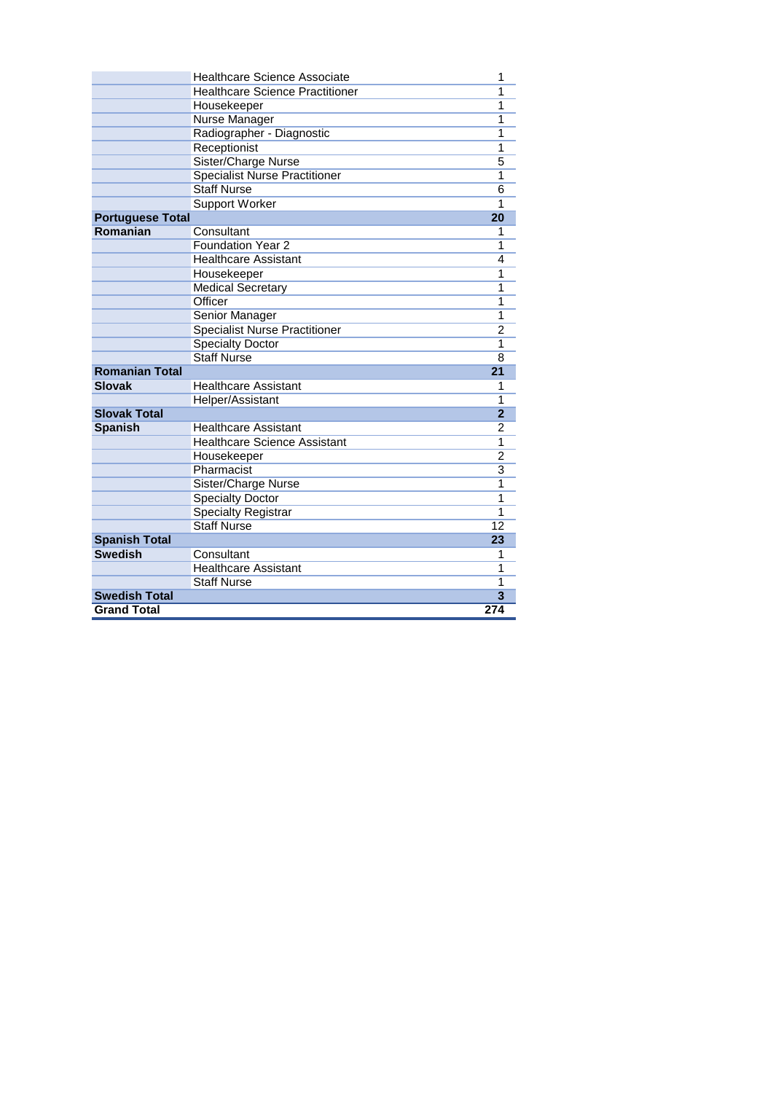|                         | <b>Healthcare Science Associate</b>    | 1              |
|-------------------------|----------------------------------------|----------------|
|                         | <b>Healthcare Science Practitioner</b> | 1              |
|                         | Housekeeper                            | 1              |
|                         | Nurse Manager                          | 1              |
|                         | Radiographer - Diagnostic              | 1              |
|                         | Receptionist                           | 1              |
|                         | Sister/Charge Nurse                    | 5              |
|                         | <b>Specialist Nurse Practitioner</b>   | 1              |
|                         | <b>Staff Nurse</b>                     | 6              |
|                         | <b>Support Worker</b>                  | 1              |
| <b>Portuguese Total</b> |                                        | 20             |
| Romanian                | Consultant                             | 1              |
|                         | <b>Foundation Year 2</b>               | 1              |
|                         | <b>Healthcare Assistant</b>            | 4              |
|                         | Housekeeper                            | 1              |
|                         | <b>Medical Secretary</b>               | 1              |
|                         | Officer                                | 1              |
|                         | <b>Senior Manager</b>                  | 1              |
|                         | <b>Specialist Nurse Practitioner</b>   | $\overline{2}$ |
|                         | <b>Specialty Doctor</b>                | 1              |
|                         | <b>Staff Nurse</b>                     | 8              |
| <b>Romanian Total</b>   |                                        | 21             |
| <b>Slovak</b>           | <b>Healthcare Assistant</b>            | 1              |
|                         | Helper/Assistant                       | 1              |
| <b>Slovak Total</b>     |                                        | $\overline{2}$ |
| <b>Spanish</b>          | <b>Healthcare Assistant</b>            | 2              |
|                         | <b>Healthcare Science Assistant</b>    | 1              |
|                         | Housekeeper                            | $\overline{2}$ |
|                         | Pharmacist                             | $\overline{3}$ |
|                         | Sister/Charge Nurse                    | 1              |
|                         | <b>Specialty Doctor</b>                | 1              |
|                         | <b>Specialty Registrar</b>             | 1              |
|                         | <b>Staff Nurse</b>                     | 12             |
| <b>Spanish Total</b>    |                                        | 23             |
| <b>Swedish</b>          | Consultant                             | 1              |
|                         | <b>Healthcare Assistant</b>            | 1              |
|                         | <b>Staff Nurse</b>                     | 1              |
| <b>Swedish Total</b>    |                                        | 3              |
| <b>Grand Total</b>      |                                        | 274            |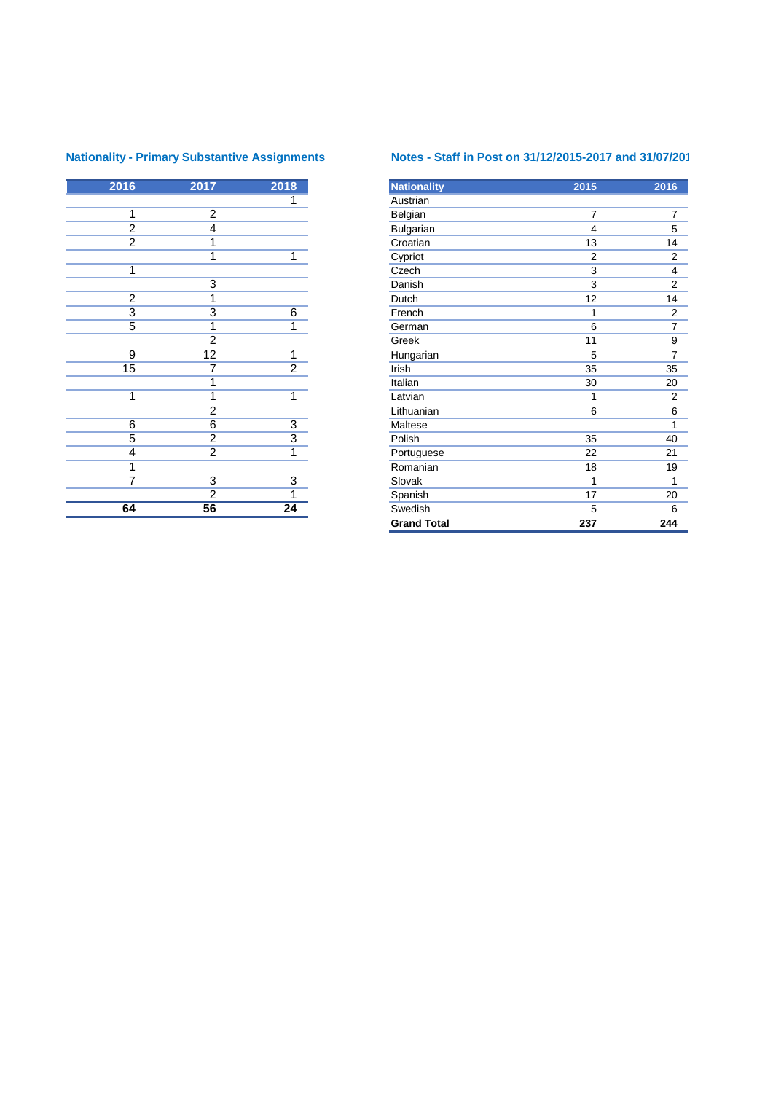| 2016           | 2017            | 2018            |
|----------------|-----------------|-----------------|
|                |                 | 1               |
| 1              | $\overline{2}$  |                 |
| $\frac{2}{2}$  | 4               |                 |
|                | 1               |                 |
|                | $\overline{1}$  | $\overline{1}$  |
| 1              |                 |                 |
|                | $\overline{3}$  |                 |
| $\overline{2}$ | $\overline{1}$  |                 |
| $\overline{3}$ | $\overline{3}$  | $\overline{6}$  |
| $\overline{5}$ | $\overline{1}$  | 1               |
|                | $\overline{2}$  |                 |
| 9              | $\overline{12}$ | 1               |
| 15             | $\overline{7}$  | $\overline{2}$  |
|                | $\overline{1}$  |                 |
| $\overline{1}$ | $\overline{1}$  | $\overline{1}$  |
|                | $\overline{2}$  |                 |
| 6              | $\overline{6}$  | $\overline{3}$  |
| $\overline{5}$ | $\frac{2}{2}$   | $\overline{3}$  |
| 4              |                 | $\overline{1}$  |
| 1              |                 |                 |
| $\overline{7}$ | $\overline{3}$  | $\overline{3}$  |
|                | $\overline{2}$  | 1               |
| 64             | $\overline{56}$ | $\overline{24}$ |

# **Nationality - Primary Substantive Assignments Notes - Staff in Post on 31/12/2015-2017 and 31/07/201**

| 2016           | 2017            | 2018           | <b>Nationality</b> | 2015           | 2016                    |
|----------------|-----------------|----------------|--------------------|----------------|-------------------------|
|                |                 | 1              | Austrian           |                |                         |
| 1              | $\overline{2}$  |                | Belgian            | $\overline{7}$ | $\overline{7}$          |
| $\overline{2}$ | 4               |                | Bulgarian          | 4              | 5                       |
| $\overline{2}$ | 1               |                | Croatian           | 13             | 14                      |
|                | 1               | 1              | Cypriot            | $\overline{2}$ | $\overline{2}$          |
| 1              |                 |                | Czech              | $\overline{3}$ | $\overline{4}$          |
|                | 3               |                | Danish             | 3              | $\overline{2}$          |
| $\overline{2}$ | 1               |                | Dutch              | 12             | 14                      |
| $\overline{3}$ | 3               | 6              | French             | 1              | $\overline{\mathbf{c}}$ |
| $\overline{5}$ | 1               | 1              | German             | 6              | $\overline{7}$          |
|                | $\overline{2}$  |                | Greek              | 11             | $\overline{9}$          |
| $\overline{9}$ | $\overline{12}$ | 1              | Hungarian          | 5              | $\overline{7}$          |
| 15             | 7               | $\overline{2}$ | Irish              | 35             | 35                      |
|                | 1               |                | Italian            | 30             | 20                      |
| 1              | 1               | $\mathbf{1}$   | Latvian            | 1              | 2                       |
|                | $\overline{2}$  |                | Lithuanian         | 6              | 6                       |
| 6              | $\overline{6}$  | $\overline{3}$ | Maltese            |                | 1                       |
| 5              | $\overline{2}$  | $\overline{3}$ | Polish             | 35             | 40                      |
| 4              | $\overline{2}$  | 1              | Portuguese         | 22             | 21                      |
| $\mathbf{1}$   |                 |                | Romanian           | 18             | 19                      |
| 7              | $\overline{3}$  | $\overline{3}$ | Slovak             | 1              | 1                       |
|                | $\overline{2}$  | 1              | Spanish            | 17             | 20                      |
| 64             | 56              | 24             | Swedish            | 5              | 6                       |
|                |                 |                | <b>Grand Total</b> | 237            | 244                     |